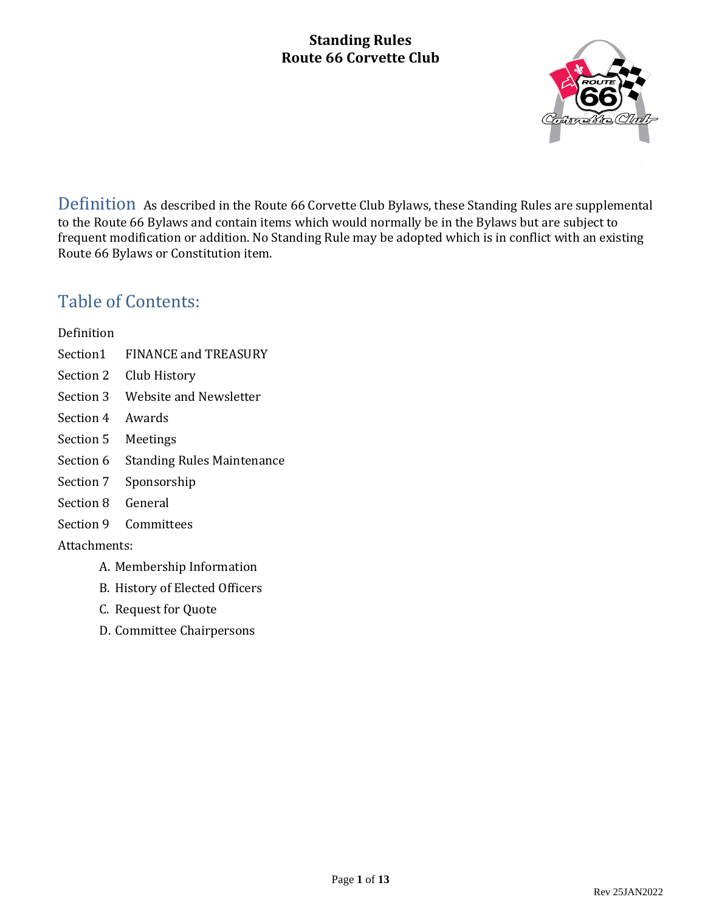

Definition As described in the Route 66 Corvette Club Bylaws, these Standing Rules are supplemental to the Route 66 Bylaws and contain items which would normally be in the Bylaws but are subject to frequent modification or addition. No Standing Rule may be adopted which is in conflict with an existing Route 66 Bylaws or Constitution item.

### Table of Contents:

#### Definition

- Section1 FINANCE and TREASURY
- Section 2 Club History
- Section 3 Website and Newsletter
- Section 4 Awards
- Section 5 Meetings
- Section 6 Standing Rules Maintenance
- Section 7 Sponsorship
- Section 8 General
- Section 9 Committees

Attachments:

- A. Membership Information
- B. History of Elected Officers
- C. Request for Quote
- D. Committee Chairpersons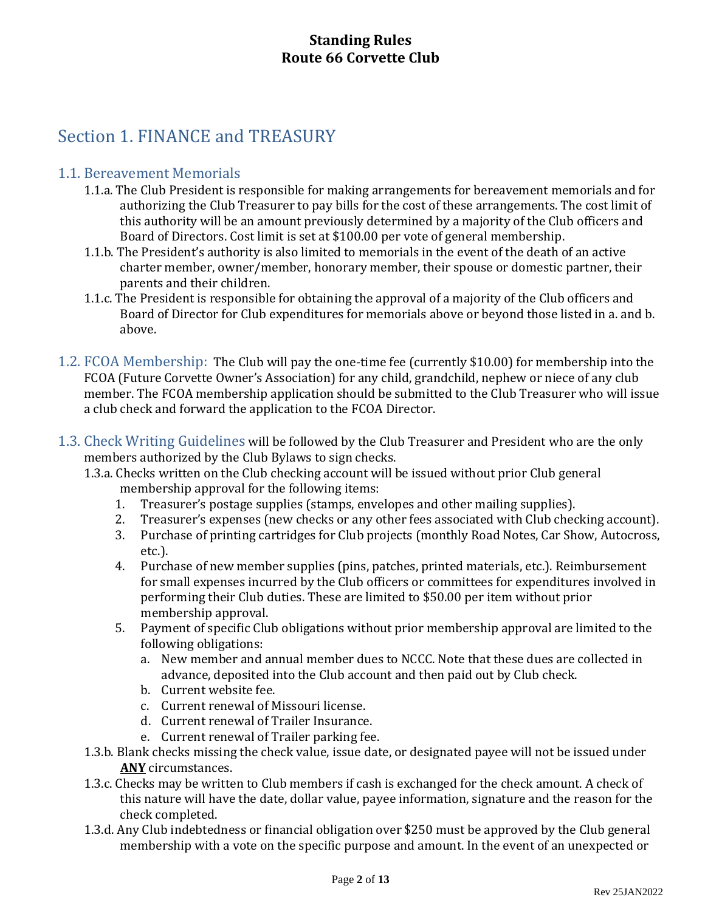## Section 1. FINANCE and TREASURY

#### 1.1. Bereavement Memorials

- 1.1.a. The Club President is responsible for making arrangements for bereavement memorials and for authorizing the Club Treasurer to pay bills for the cost of these arrangements. The cost limit of this authority will be an amount previously determined by a majority of the Club officers and Board of Directors. Cost limit is set at \$100.00 per vote of general membership.
- 1.1.b. The President's authority is also limited to memorials in the event of the death of an active charter member, owner/member, honorary member, their spouse or domestic partner, their parents and their children.
- 1.1.c. The President is responsible for obtaining the approval of a majority of the Club officers and Board of Director for Club expenditures for memorials above or beyond those listed in a. and b. above.
- 1.2. FCOA Membership: The Club will pay the one-time fee (currently \$10.00) for membership into the FCOA (Future Corvette Owner's Association) for any child, grandchild, nephew or niece of any club member. The FCOA membership application should be submitted to the Club Treasurer who will issue a club check and forward the application to the FCOA Director.
- 1.3. Check Writing Guidelines will be followed by the Club Treasurer and President who are the only members authorized by the Club Bylaws to sign checks.
	- 1.3.a. Checks written on the Club checking account will be issued without prior Club general membership approval for the following items:
		- 1. Treasurer's postage supplies (stamps, envelopes and other mailing supplies).
		- 2. Treasurer's expenses (new checks or any other fees associated with Club checking account).
		- 3. Purchase of printing cartridges for Club projects (monthly Road Notes, Car Show, Autocross, etc.).
		- 4. Purchase of new member supplies (pins, patches, printed materials, etc.). Reimbursement for small expenses incurred by the Club officers or committees for expenditures involved in performing their Club duties. These are limited to \$50.00 per item without prior membership approval.
		- 5. Payment of specific Club obligations without prior membership approval are limited to the following obligations:
			- a. New member and annual member dues to NCCC. Note that these dues are collected in advance, deposited into the Club account and then paid out by Club check.
			- b. Current website fee.
			- c. Current renewal of Missouri license.
			- d. Current renewal of Trailer Insurance.
			- e. Current renewal of Trailer parking fee.
	- 1.3.b. Blank checks missing the check value, issue date, or designated payee will not be issued under **ANY** circumstances.
	- 1.3.c. Checks may be written to Club members if cash is exchanged for the check amount. A check of this nature will have the date, dollar value, payee information, signature and the reason for the check completed.
	- 1.3.d. Any Club indebtedness or financial obligation over \$250 must be approved by the Club general membership with a vote on the specific purpose and amount. In the event of an unexpected or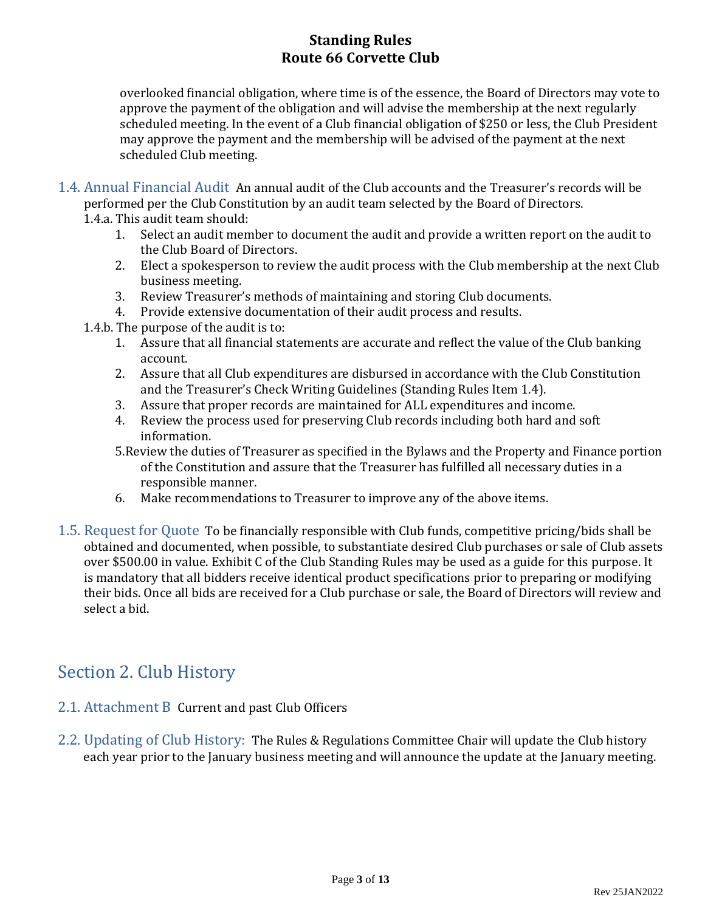overlooked financial obligation, where time is of the essence, the Board of Directors may vote to approve the payment of the obligation and will advise the membership at the next regularly scheduled meeting. In the event of a Club financial obligation of \$250 or less, the Club President may approve the payment and the membership will be advised of the payment at the next scheduled Club meeting.

1.4. Annual Financial Audit An annual audit of the Club accounts and the Treasurer's records will be performed per the Club Constitution by an audit team selected by the Board of Directors.

1.4.a. This audit team should:

- 1. Select an audit member to document the audit and provide a written report on the audit to the Club Board of Directors.
- 2. Elect a spokesperson to review the audit process with the Club membership at the next Club business meeting.
- 3. Review Treasurer's methods of maintaining and storing Club documents.
- 4. Provide extensive documentation of their audit process and results.
- 1.4.b. The purpose of the audit is to:
	- 1. Assure that all financial statements are accurate and reflect the value of the Club banking account.
	- 2. Assure that all Club expenditures are disbursed in accordance with the Club Constitution and the Treasurer's Check Writing Guidelines (Standing Rules Item 1.4).
	- 3. Assure that proper records are maintained for ALL expenditures and income.
	- 4. Review the process used for preserving Club records including both hard and soft information.
	- 5.Review the duties of Treasurer as specified in the Bylaws and the Property and Finance portion of the Constitution and assure that the Treasurer has fulfilled all necessary duties in a responsible manner.
	- 6. Make recommendations to Treasurer to improve any of the above items.
- 1.5. Request for Quote To be financially responsible with Club funds, competitive pricing/bids shall be obtained and documented, when possible, to substantiate desired Club purchases or sale of Club assets over \$500.00 in value. Exhibit C of the Club Standing Rules may be used as a guide for this purpose. It is mandatory that all bidders receive identical product specifications prior to preparing or modifying their bids. Once all bids are received for a Club purchase or sale, the Board of Directors will review and select a bid.

### Section 2. Club History

- 2.1. Attachment B Current and past Club Officers
- 2.2. Updating of Club History: The Rules & Regulations Committee Chair will update the Club history each year prior to the January business meeting and will announce the update at the January meeting.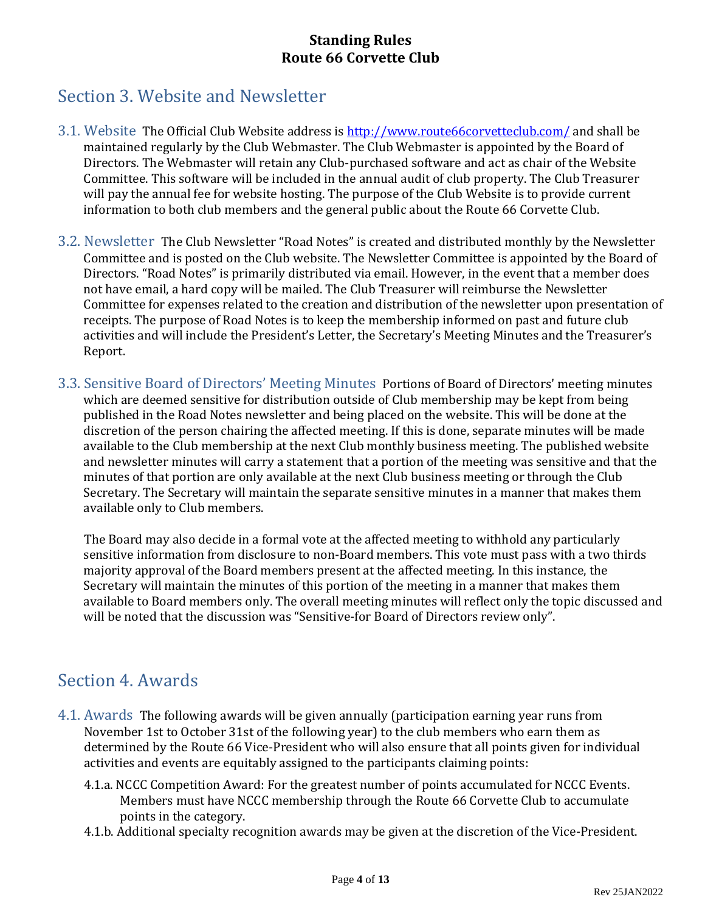## Section 3. Website and Newsletter

- 3.1. Website The Official Club Website address i[s http://www.route66corvetteclub.com/](http://www.route66corvetteclub.com/) and shall be maintained regularly by the Club Webmaster. The Club Webmaster is appointed by the Board of Directors. The Webmaster will retain any Club-purchased software and act as chair of the Website Committee. This software will be included in the annual audit of club property. The Club Treasurer will pay the annual fee for website hosting. The purpose of the Club Website is to provide current information to both club members and the general public about the Route 66 Corvette Club.
- 3.2. Newsletter The Club Newsletter "Road Notes" is created and distributed monthly by the Newsletter Committee and is posted on the Club website. The Newsletter Committee is appointed by the Board of Directors. "Road Notes" is primarily distributed via email. However, in the event that a member does not have email, a hard copy will be mailed. The Club Treasurer will reimburse the Newsletter Committee for expenses related to the creation and distribution of the newsletter upon presentation of receipts. The purpose of Road Notes is to keep the membership informed on past and future club activities and will include the President's Letter, the Secretary's Meeting Minutes and the Treasurer's Report.
- 3.3. Sensitive Board of Directors' Meeting Minutes Portions of Board of Directors' meeting minutes which are deemed sensitive for distribution outside of Club membership may be kept from being published in the Road Notes newsletter and being placed on the website. This will be done at the discretion of the person chairing the affected meeting. If this is done, separate minutes will be made available to the Club membership at the next Club monthly business meeting. The published website and newsletter minutes will carry a statement that a portion of the meeting was sensitive and that the minutes of that portion are only available at the next Club business meeting or through the Club Secretary. The Secretary will maintain the separate sensitive minutes in a manner that makes them available only to Club members.

The Board may also decide in a formal vote at the affected meeting to withhold any particularly sensitive information from disclosure to non-Board members. This vote must pass with a two thirds majority approval of the Board members present at the affected meeting. In this instance, the Secretary will maintain the minutes of this portion of the meeting in a manner that makes them available to Board members only. The overall meeting minutes will reflect only the topic discussed and will be noted that the discussion was "Sensitive-for Board of Directors review only".

### Section 4. Awards

- 4.1. Awards The following awards will be given annually (participation earning year runs from November 1st to October 31st of the following year) to the club members who earn them as determined by the Route 66 Vice-President who will also ensure that all points given for individual activities and events are equitably assigned to the participants claiming points:
	- 4.1.a. NCCC Competition Award: For the greatest number of points accumulated for NCCC Events. Members must have NCCC membership through the Route 66 Corvette Club to accumulate points in the category.
	- 4.1.b. Additional specialty recognition awards may be given at the discretion of the Vice-President.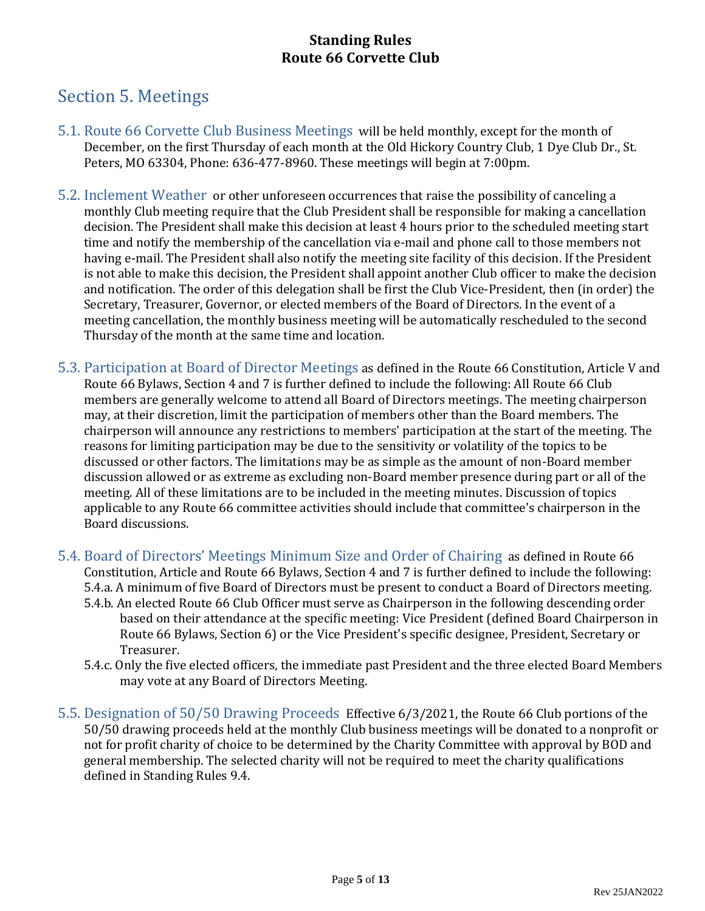## Section 5. Meetings

- 5.1. Route 66 Corvette Club Business Meetings will be held monthly, except for the month of December, on the first Thursday of each month at the Old Hickory Country Club, 1 Dye Club Dr., St. Peters, MO 63304, Phone: 636-477-8960. These meetings will begin at 7:00pm.
- 5.2. Inclement Weather or other unforeseen occurrences that raise the possibility of canceling a monthly Club meeting require that the Club President shall be responsible for making a cancellation decision. The President shall make this decision at least 4 hours prior to the scheduled meeting start time and notify the membership of the cancellation via e-mail and phone call to those members not having e-mail. The President shall also notify the meeting site facility of this decision. If the President is not able to make this decision, the President shall appoint another Club officer to make the decision and notification. The order of this delegation shall be first the Club Vice-President, then (in order) the Secretary, Treasurer, Governor, or elected members of the Board of Directors. In the event of a meeting cancellation, the monthly business meeting will be automatically rescheduled to the second Thursday of the month at the same time and location.
- 5.3. Participation at Board of Director Meetings as defined in the Route 66 Constitution, Article V and Route 66 Bylaws, Section 4 and 7 is further defined to include the following: All Route 66 Club members are generally welcome to attend all Board of Directors meetings. The meeting chairperson may, at their discretion, limit the participation of members other than the Board members. The chairperson will announce any restrictions to members' participation at the start of the meeting. The reasons for limiting participation may be due to the sensitivity or volatility of the topics to be discussed or other factors. The limitations may be as simple as the amount of non-Board member discussion allowed or as extreme as excluding non-Board member presence during part or all of the meeting. All of these limitations are to be included in the meeting minutes. Discussion of topics applicable to any Route 66 committee activities should include that committee's chairperson in the Board discussions.
- 5.4. Board of Directors' Meetings Minimum Size and Order of Chairing as defined in Route 66 Constitution, Article and Route 66 Bylaws, Section 4 and 7 is further defined to include the following: 5.4.a. A minimum of five Board of Directors must be present to conduct a Board of Directors meeting.
	- 5.4.b. An elected Route 66 Club Officer must serve as Chairperson in the following descending order based on their attendance at the specific meeting: Vice President (defined Board Chairperson in Route 66 Bylaws, Section 6) or the Vice President's specific designee, President, Secretary or Treasurer.
	- 5.4.c. Only the five elected officers, the immediate past President and the three elected Board Members may vote at any Board of Directors Meeting.
- 5.5. Designation of 50/50 Drawing Proceeds Effective 6/3/2021, the Route 66 Club portions of the 50/50 drawing proceeds held at the monthly Club business meetings will be donated to a nonprofit or not for profit charity of choice to be determined by the Charity Committee with approval by BOD and general membership. The selected charity will not be required to meet the charity qualifications defined in Standing Rules 9.4.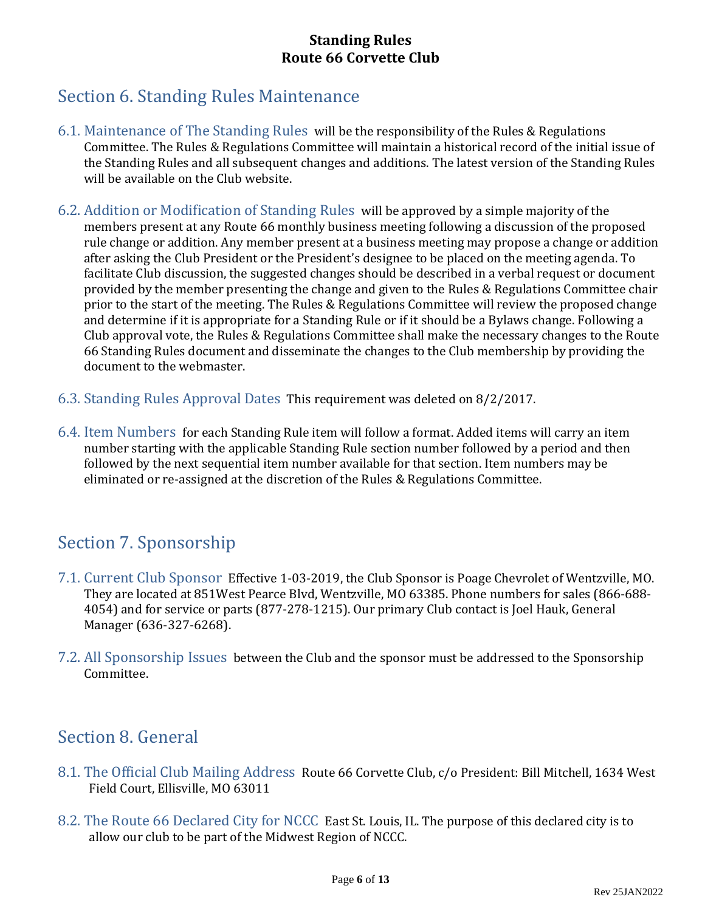## Section 6. Standing Rules Maintenance

- 6.1. Maintenance of The Standing Rules will be the responsibility of the Rules & Regulations Committee. The Rules & Regulations Committee will maintain a historical record of the initial issue of the Standing Rules and all subsequent changes and additions. The latest version of the Standing Rules will be available on the Club website.
- 6.2. Addition or Modification of Standing Rules will be approved by a simple majority of the members present at any Route 66 monthly business meeting following a discussion of the proposed rule change or addition. Any member present at a business meeting may propose a change or addition after asking the Club President or the President's designee to be placed on the meeting agenda. To facilitate Club discussion, the suggested changes should be described in a verbal request or document provided by the member presenting the change and given to the Rules & Regulations Committee chair prior to the start of the meeting. The Rules & Regulations Committee will review the proposed change and determine if it is appropriate for a Standing Rule or if it should be a Bylaws change. Following a Club approval vote, the Rules & Regulations Committee shall make the necessary changes to the Route 66 Standing Rules document and disseminate the changes to the Club membership by providing the document to the webmaster.
- 6.3. Standing Rules Approval Dates This requirement was deleted on 8/2/2017.
- 6.4. Item Numbers for each Standing Rule item will follow a format. Added items will carry an item number starting with the applicable Standing Rule section number followed by a period and then followed by the next sequential item number available for that section. Item numbers may be eliminated or re-assigned at the discretion of the Rules & Regulations Committee.

### Section 7. Sponsorship

- 7.1. Current Club Sponsor Effective 1-03-2019, the Club Sponsor is Poage Chevrolet of Wentzville, MO. They are located at 851West Pearce Blvd, Wentzville, MO 63385. Phone numbers for sales (866-688- 4054) and for service or parts (877-278-1215). Our primary Club contact is Joel Hauk, General Manager (636-327-6268).
- 7.2. All Sponsorship Issues between the Club and the sponsor must be addressed to the Sponsorship Committee.

### Section 8. General

- 8.1. The Official Club Mailing Address Route 66 Corvette Club, c/o President: Bill Mitchell, 1634 West Field Court, Ellisville, MO 63011
- 8.2. The Route 66 Declared City for NCCC East St. Louis, IL. The purpose of this declared city is to allow our club to be part of the Midwest Region of NCCC.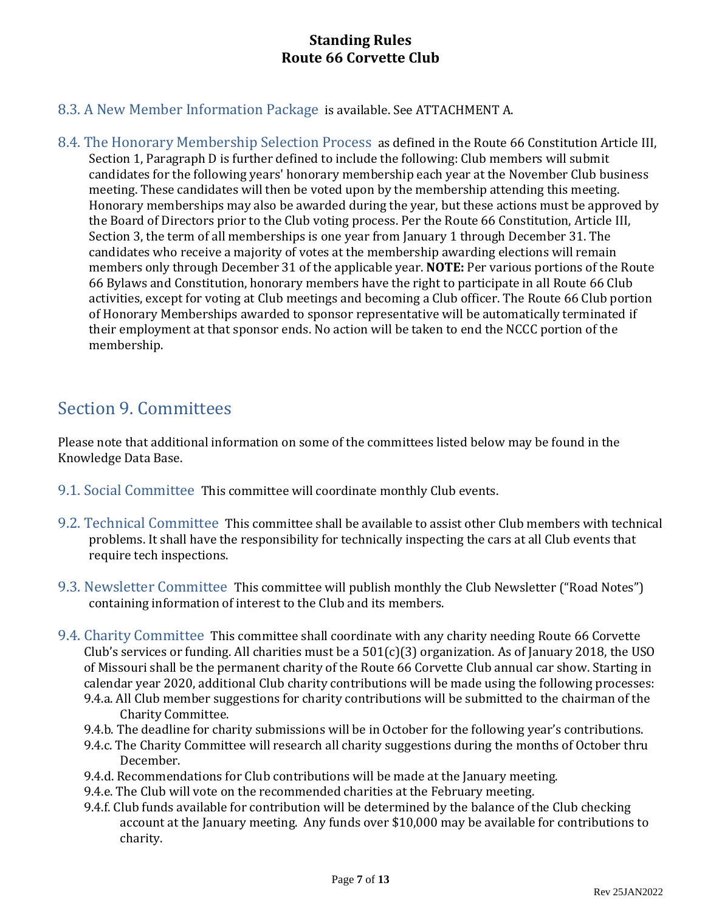- 8.3. A New Member Information Package is available. See ATTACHMENT A.
- 8.4. The Honorary Membership Selection Process as defined in the Route 66 Constitution Article III, Section 1, Paragraph D is further defined to include the following: Club members will submit candidates for the following years' honorary membership each year at the November Club business meeting. These candidates will then be voted upon by the membership attending this meeting. Honorary memberships may also be awarded during the year, but these actions must be approved by the Board of Directors prior to the Club voting process. Per the Route 66 Constitution, Article III, Section 3, the term of all memberships is one year from January 1 through December 31. The candidates who receive a majority of votes at the membership awarding elections will remain members only through December 31 of the applicable year. **NOTE:** Per various portions of the Route 66 Bylaws and Constitution, honorary members have the right to participate in all Route 66 Club activities, except for voting at Club meetings and becoming a Club officer. The Route 66 Club portion of Honorary Memberships awarded to sponsor representative will be automatically terminated if their employment at that sponsor ends. No action will be taken to end the NCCC portion of the membership.

### Section 9. Committees

Please note that additional information on some of the committees listed below may be found in the Knowledge Data Base.

- 9.1. Social Committee This committee will coordinate monthly Club events.
- 9.2. Technical Committee This committee shall be available to assist other Club members with technical problems. It shall have the responsibility for technically inspecting the cars at all Club events that require tech inspections.
- 9.3. Newsletter Committee This committee will publish monthly the Club Newsletter ("Road Notes") containing information of interest to the Club and its members.
- 9.4. Charity Committee This committee shall coordinate with any charity needing Route 66 Corvette Club's services or funding. All charities must be a  $501(c)(3)$  organization. As of January 2018, the USO of Missouri shall be the permanent charity of the Route 66 Corvette Club annual car show. Starting in calendar year 2020, additional Club charity contributions will be made using the following processes: 9.4.a. All Club member suggestions for charity contributions will be submitted to the chairman of the Charity Committee.
	- 9.4.b. The deadline for charity submissions will be in October for the following year's contributions.
	- 9.4.c. The Charity Committee will research all charity suggestions during the months of October thru December.
	- 9.4.d. Recommendations for Club contributions will be made at the January meeting.
	- 9.4.e. The Club will vote on the recommended charities at the February meeting.
	- 9.4.f. Club funds available for contribution will be determined by the balance of the Club checking account at the January meeting. Any funds over \$10,000 may be available for contributions to charity.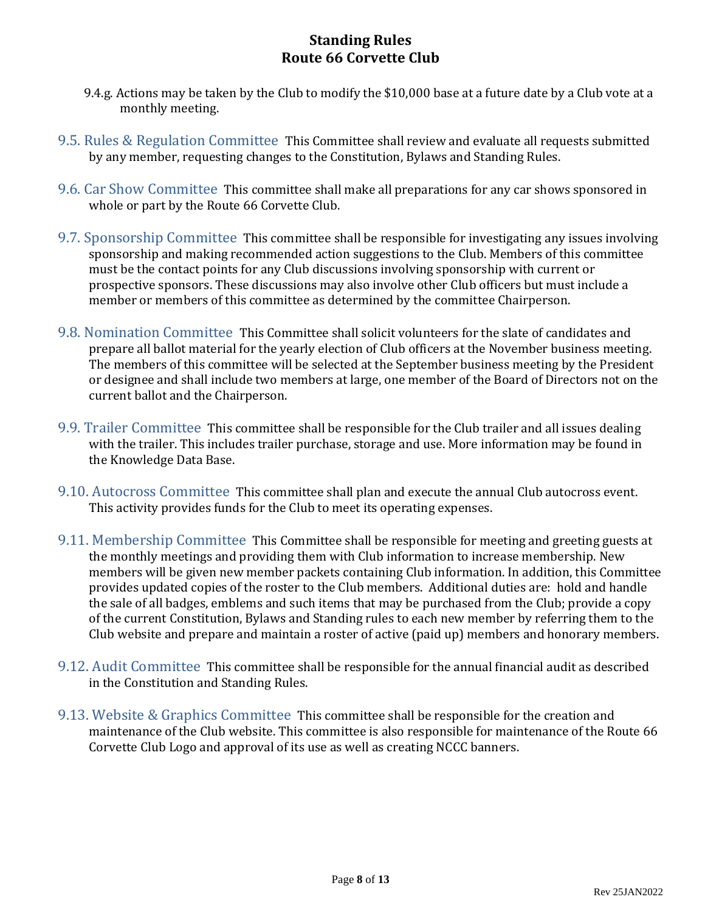- 9.4.g. Actions may be taken by the Club to modify the \$10,000 base at a future date by a Club vote at a monthly meeting.
- 9.5. Rules & Regulation Committee This Committee shall review and evaluate all requests submitted by any member, requesting changes to the Constitution, Bylaws and Standing Rules.
- 9.6. Car Show Committee This committee shall make all preparations for any car shows sponsored in whole or part by the Route 66 Corvette Club.
- 9.7. Sponsorship Committee This committee shall be responsible for investigating any issues involving sponsorship and making recommended action suggestions to the Club. Members of this committee must be the contact points for any Club discussions involving sponsorship with current or prospective sponsors. These discussions may also involve other Club officers but must include a member or members of this committee as determined by the committee Chairperson.
- 9.8. Nomination Committee This Committee shall solicit volunteers for the slate of candidates and prepare all ballot material for the yearly election of Club officers at the November business meeting. The members of this committee will be selected at the September business meeting by the President or designee and shall include two members at large, one member of the Board of Directors not on the current ballot and the Chairperson.
- 9.9. Trailer Committee This committee shall be responsible for the Club trailer and all issues dealing with the trailer. This includes trailer purchase, storage and use. More information may be found in the Knowledge Data Base.
- 9.10. Autocross Committee This committee shall plan and execute the annual Club autocross event. This activity provides funds for the Club to meet its operating expenses.
- 9.11. Membership Committee This Committee shall be responsible for meeting and greeting guests at the monthly meetings and providing them with Club information to increase membership. New members will be given new member packets containing Club information. In addition, this Committee provides updated copies of the roster to the Club members. Additional duties are: hold and handle the sale of all badges, emblems and such items that may be purchased from the Club; provide a copy of the current Constitution, Bylaws and Standing rules to each new member by referring them to the Club website and prepare and maintain a roster of active (paid up) members and honorary members.
- 9.12. Audit Committee This committee shall be responsible for the annual financial audit as described in the Constitution and Standing Rules.
- 9.13. Website & Graphics Committee This committee shall be responsible for the creation and maintenance of the Club website. This committee is also responsible for maintenance of the Route 66 Corvette Club Logo and approval of its use as well as creating NCCC banners.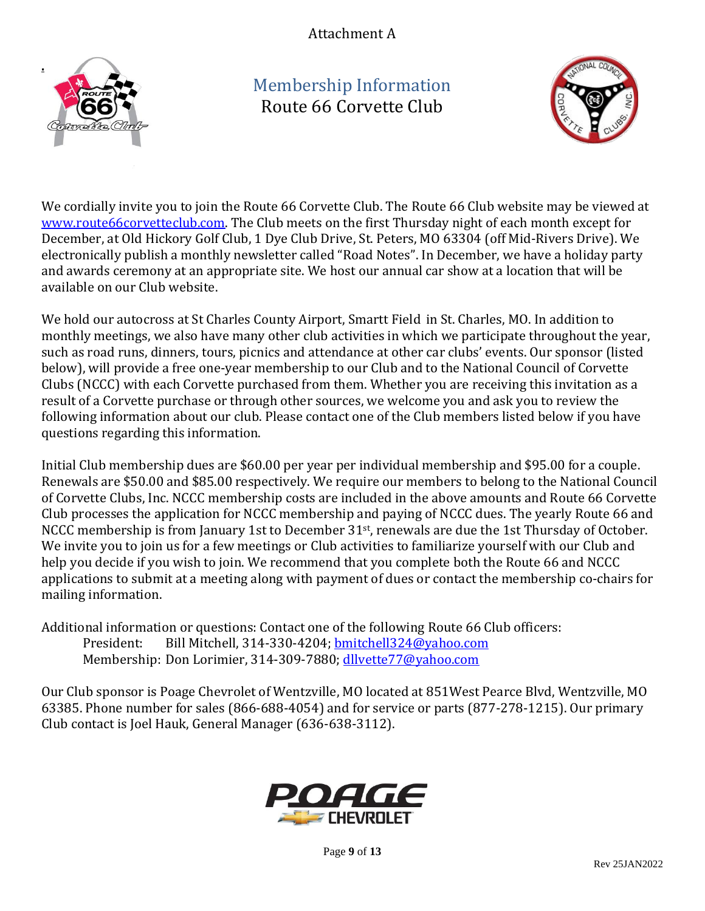Attachment A



Membership Information Route 66 Corvette Club



We cordially invite you to join the Route 66 Corvette Club. The Route 66 Club website may be viewed at [www.route66corvetteclub.com.](http://www.route66corvetteclub.com/) The Club meets on the first Thursday night of each month except for December, at Old Hickory Golf Club, 1 Dye Club Drive, St. Peters, MO 63304 (off Mid-Rivers Drive). We electronically publish a monthly newsletter called "Road Notes". In December, we have a holiday party and awards ceremony at an appropriate site. We host our annual car show at a location that will be available on our Club website.

We hold our autocross at St Charles County Airport, Smartt Field in St. Charles, MO. In addition to monthly meetings, we also have many other club activities in which we participate throughout the year, such as road runs, dinners, tours, picnics and attendance at other car clubs' events. Our sponsor (listed below), will provide a free one-year membership to our Club and to the National Council of Corvette Clubs (NCCC) with each Corvette purchased from them. Whether you are receiving this invitation as a result of a Corvette purchase or through other sources, we welcome you and ask you to review the following information about our club. Please contact one of the Club members listed below if you have questions regarding this information.

Initial Club membership dues are \$60.00 per year per individual membership and \$95.00 for a couple. Renewals are \$50.00 and \$85.00 respectively. We require our members to belong to the National Council of Corvette Clubs, Inc. NCCC membership costs are included in the above amounts and Route 66 Corvette Club processes the application for NCCC membership and paying of NCCC dues. The yearly Route 66 and NCCC membership is from January 1st to December 31st, renewals are due the 1st Thursday of October. We invite you to join us for a few meetings or Club activities to familiarize yourself with our Club and help you decide if you wish to join. We recommend that you complete both the Route 66 and NCCC applications to submit at a meeting along with payment of dues or contact the membership co-chairs for mailing information.

Additional information or questions: Contact one of the following Route 66 Club officers: President: Bill Mitchell, 314-330-4204[; bmitchell324@yahoo.com](mailto:bmitchell324@yahoo.com) Membership: Don Lorimier, 314-309-7880; [dllvette77@yahoo.com](mailto:dllvette77@yahoo.com)

Our Club sponsor is Poage Chevrolet of Wentzville, MO located at 851West Pearce Blvd, Wentzville, MO 63385. Phone number for sales (866-688-4054) and for service or parts (877-278-1215). Our primary Club contact is Joel Hauk, General Manager (636-638-3112).



Page **9** of **13**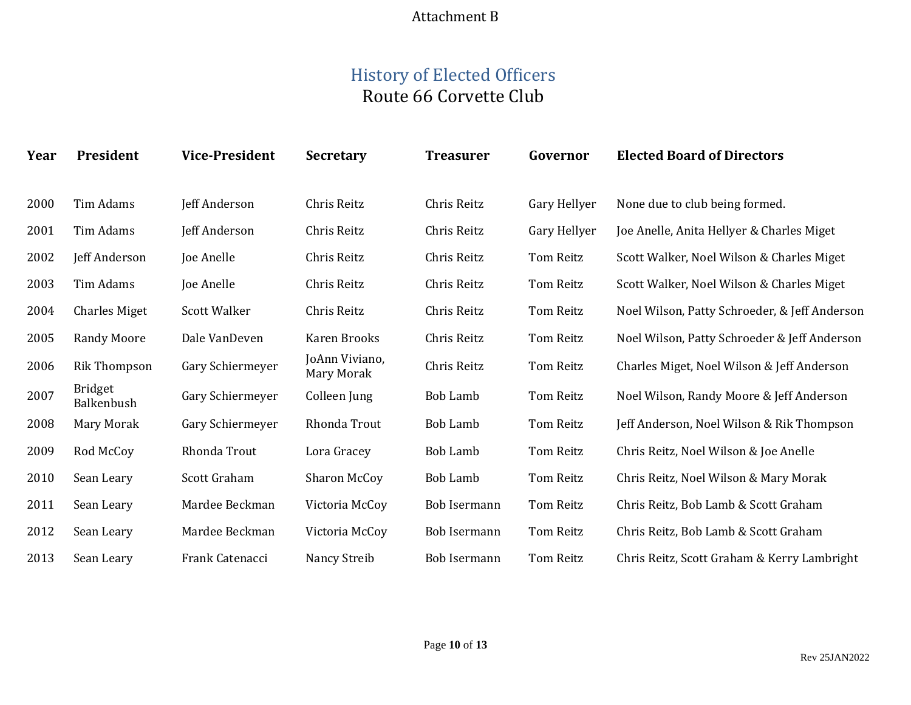### Attachment B

## History of Elected Officers Route 66 Corvette Club

| Year | <b>President</b>             | <b>Vice-President</b> | <b>Secretary</b>             | <b>Treasurer</b>    | Governor         | <b>Elected Board of Directors</b>             |
|------|------------------------------|-----------------------|------------------------------|---------------------|------------------|-----------------------------------------------|
| 2000 | Tim Adams                    | Jeff Anderson         | Chris Reitz                  | Chris Reitz         | Gary Hellyer     | None due to club being formed.                |
| 2001 | Tim Adams                    | Jeff Anderson         | Chris Reitz                  | Chris Reitz         | Gary Hellyer     | Joe Anelle, Anita Hellyer & Charles Miget     |
| 2002 | Jeff Anderson                | Joe Anelle            | Chris Reitz                  | Chris Reitz         | <b>Tom Reitz</b> | Scott Walker, Noel Wilson & Charles Miget     |
| 2003 | Tim Adams                    | Joe Anelle            | Chris Reitz                  | Chris Reitz         | <b>Tom Reitz</b> | Scott Walker, Noel Wilson & Charles Miget     |
| 2004 | <b>Charles Miget</b>         | <b>Scott Walker</b>   | Chris Reitz                  | Chris Reitz         | Tom Reitz        | Noel Wilson, Patty Schroeder, & Jeff Anderson |
| 2005 | <b>Randy Moore</b>           | Dale VanDeven         | Karen Brooks                 | Chris Reitz         | <b>Tom Reitz</b> | Noel Wilson, Patty Schroeder & Jeff Anderson  |
| 2006 | Rik Thompson                 | Gary Schiermeyer      | JoAnn Viviano,<br>Mary Morak | Chris Reitz         | Tom Reitz        | Charles Miget, Noel Wilson & Jeff Anderson    |
| 2007 | <b>Bridget</b><br>Balkenbush | Gary Schiermeyer      | Colleen Jung                 | <b>Bob Lamb</b>     | <b>Tom Reitz</b> | Noel Wilson, Randy Moore & Jeff Anderson      |
| 2008 | Mary Morak                   | Gary Schiermeyer      | Rhonda Trout                 | <b>Bob Lamb</b>     | Tom Reitz        | Jeff Anderson, Noel Wilson & Rik Thompson     |
| 2009 | Rod McCoy                    | Rhonda Trout          | Lora Gracey                  | <b>Bob Lamb</b>     | Tom Reitz        | Chris Reitz, Noel Wilson & Joe Anelle         |
| 2010 | Sean Leary                   | Scott Graham          | Sharon McCoy                 | <b>Bob Lamb</b>     | <b>Tom Reitz</b> | Chris Reitz, Noel Wilson & Mary Morak         |
| 2011 | Sean Leary                   | Mardee Beckman        | Victoria McCoy               | <b>Bob Isermann</b> | <b>Tom Reitz</b> | Chris Reitz, Bob Lamb & Scott Graham          |
| 2012 | Sean Leary                   | Mardee Beckman        | Victoria McCoy               | Bob Isermann        | <b>Tom Reitz</b> | Chris Reitz, Bob Lamb & Scott Graham          |
| 2013 | Sean Leary                   | Frank Catenacci       | Nancy Streib                 | <b>Bob Isermann</b> | <b>Tom Reitz</b> | Chris Reitz, Scott Graham & Kerry Lambright   |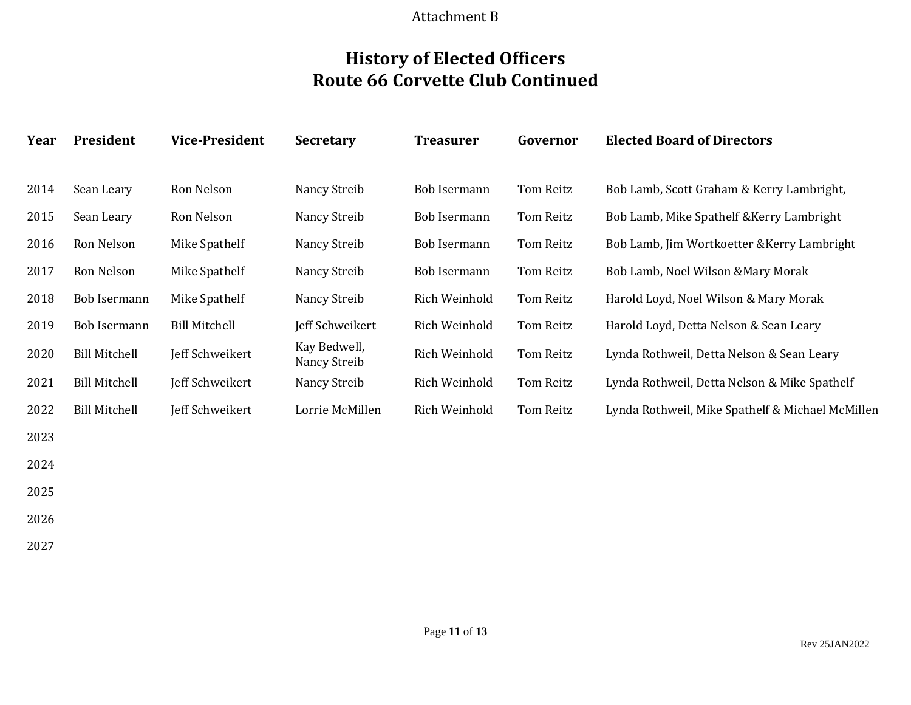### Attachment B

## **History of Elected Officers Route 66 Corvette Club Continued**

| Year | President            | <b>Vice-President</b> | <b>Secretary</b>             | <b>Treasurer</b> | Governor  | <b>Elected Board of Directors</b>                |  |
|------|----------------------|-----------------------|------------------------------|------------------|-----------|--------------------------------------------------|--|
|      |                      |                       |                              |                  |           |                                                  |  |
| 2014 | Sean Leary           | Ron Nelson            | Nancy Streib                 | Bob Isermann     | Tom Reitz | Bob Lamb, Scott Graham & Kerry Lambright,        |  |
| 2015 | Sean Leary           | Ron Nelson            | Nancy Streib                 | Bob Isermann     | Tom Reitz | Bob Lamb, Mike Spathelf & Kerry Lambright        |  |
| 2016 | Ron Nelson           | Mike Spathelf         | Nancy Streib                 | Bob Isermann     | Tom Reitz | Bob Lamb, Jim Wortkoetter & Kerry Lambright      |  |
| 2017 | Ron Nelson           | Mike Spathelf         | Nancy Streib                 | Bob Isermann     | Tom Reitz | Bob Lamb, Noel Wilson & Mary Morak               |  |
| 2018 | Bob Isermann         | Mike Spathelf         | Nancy Streib                 | Rich Weinhold    | Tom Reitz | Harold Loyd, Noel Wilson & Mary Morak            |  |
| 2019 | Bob Isermann         | <b>Bill Mitchell</b>  | Jeff Schweikert              | Rich Weinhold    | Tom Reitz | Harold Loyd, Detta Nelson & Sean Leary           |  |
| 2020 | <b>Bill Mitchell</b> | Jeff Schweikert       | Kay Bedwell,<br>Nancy Streib | Rich Weinhold    | Tom Reitz | Lynda Rothweil, Detta Nelson & Sean Leary        |  |
| 2021 | <b>Bill Mitchell</b> | Jeff Schweikert       | Nancy Streib                 | Rich Weinhold    | Tom Reitz | Lynda Rothweil, Detta Nelson & Mike Spathelf     |  |
| 2022 | <b>Bill Mitchell</b> | Jeff Schweikert       | Lorrie McMillen              | Rich Weinhold    | Tom Reitz | Lynda Rothweil, Mike Spathelf & Michael McMillen |  |
| 2023 |                      |                       |                              |                  |           |                                                  |  |
| 2024 |                      |                       |                              |                  |           |                                                  |  |
| 2025 |                      |                       |                              |                  |           |                                                  |  |
| 2026 |                      |                       |                              |                  |           |                                                  |  |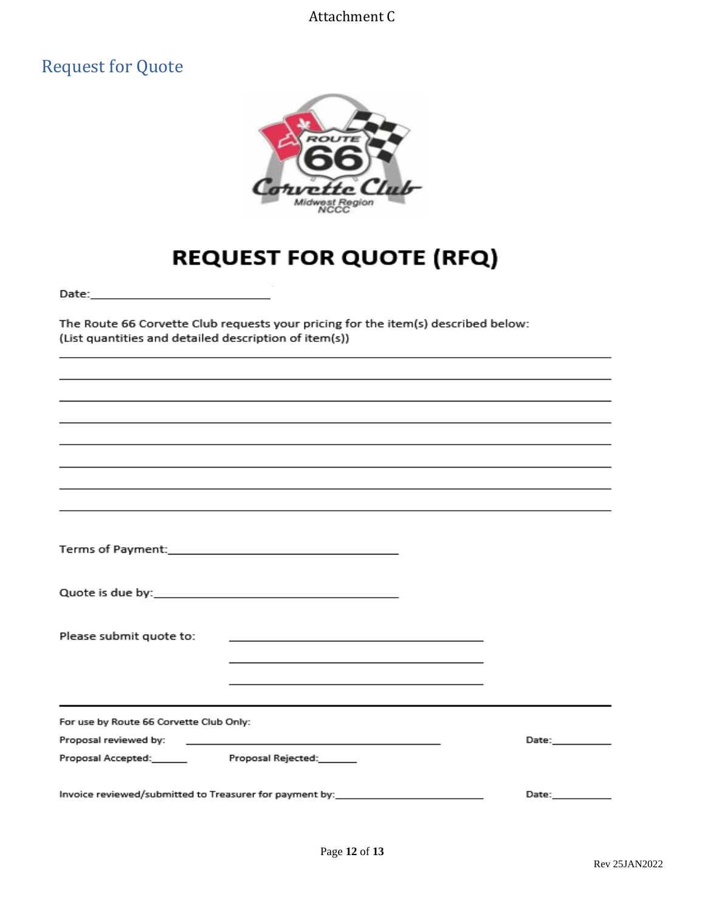### Attachment C

## Request for Quote



# **REQUEST FOR QUOTE (RFQ)**

The Route 66 Corvette Club requests your pricing for the item(s) described below: (List quantities and detailed description of item(s))

| Please submit quote to:                                 | the control of the control of the control of the control of the control of the control of                                                                                      |  |                                                                                                                |
|---------------------------------------------------------|--------------------------------------------------------------------------------------------------------------------------------------------------------------------------------|--|----------------------------------------------------------------------------------------------------------------|
|                                                         | and the control of the control of the control of the control of the control of the control of the control of the<br><u> 1989 - Johann Stoff, amerikansk politiker (* 1908)</u> |  |                                                                                                                |
|                                                         |                                                                                                                                                                                |  |                                                                                                                |
| For use by Route 66 Corvette Club Only:                 |                                                                                                                                                                                |  |                                                                                                                |
|                                                         |                                                                                                                                                                                |  | Date: and the state of the state of the state of the state of the state of the state of the state of the state |
| Proposal Accepted: Proposal Rejected: Proposal Rejected |                                                                                                                                                                                |  |                                                                                                                |
| Invoice reviewed/submitted to Treasurer for payment by: | Date:                                                                                                                                                                          |  |                                                                                                                |